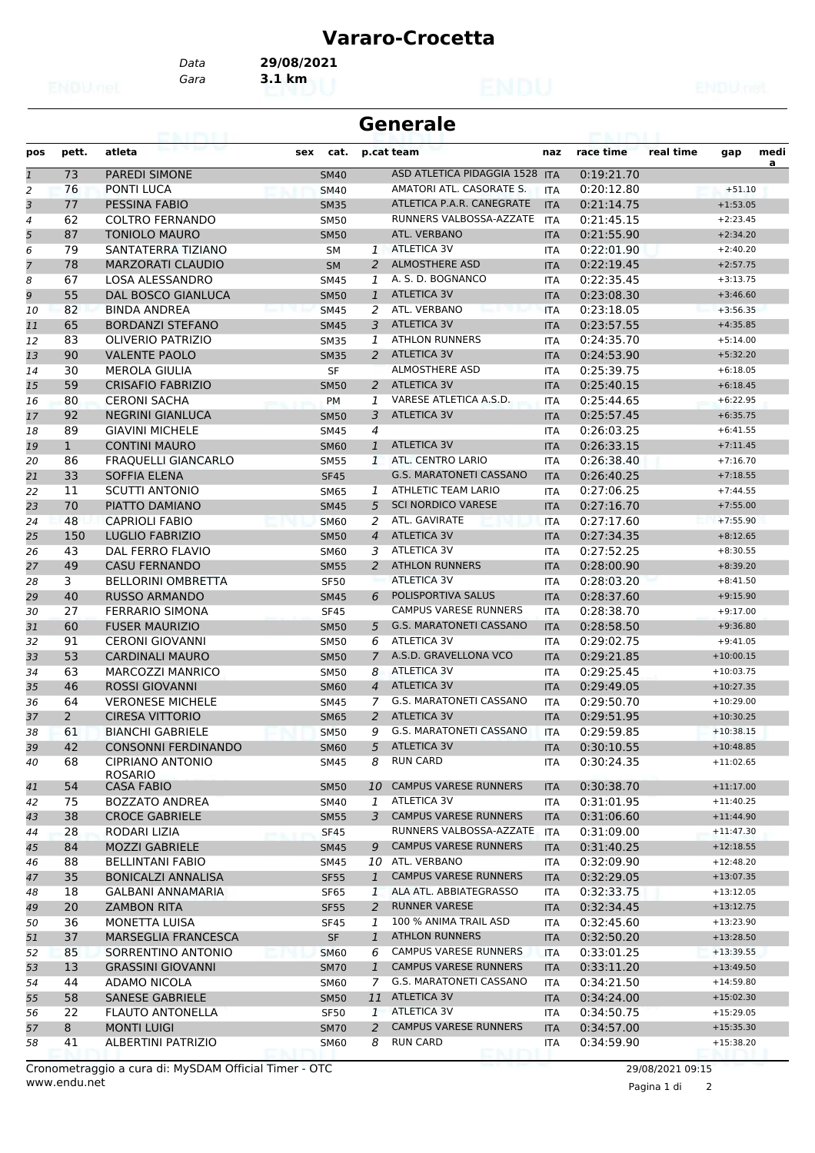## **Vararo-Crocetta**

*Gara* **3.1 km** *Data* **29/08/2021**

| Generale |  |
|----------|--|
|----------|--|

| pos                     | pett.          | atleta                     | sex         | cat.        |                | p.cat team                     | naz        | race time  | real time | gap         | medi |
|-------------------------|----------------|----------------------------|-------------|-------------|----------------|--------------------------------|------------|------------|-----------|-------------|------|
| $\mathfrak 1$           | 73             | <b>PAREDI SIMONE</b>       | <b>SM40</b> |             |                | ASD ATLETICA PIDAGGIA 1528 ITA |            | 0:19:21.70 |           |             | a    |
| $\overline{2}$          | 76             | <b>PONTI LUCA</b>          | <b>SM40</b> |             |                | AMATORI ATL. CASORATE S.       | <b>ITA</b> | 0:20:12.80 |           | $+51.10$    |      |
| $\overline{\mathbf{3}}$ | 77             | PESSINA FABIO              | <b>SM35</b> |             |                | ATLETICA P.A.R. CANEGRATE      | <b>ITA</b> | 0:21:14.75 |           | $+1:53.05$  |      |
| $\overline{4}$          | 62             | <b>COLTRO FERNANDO</b>     | <b>SM50</b> |             |                | RUNNERS VALBOSSA-AZZATE        | <b>ITA</b> | 0:21:45.15 |           | $+2:23.45$  |      |
| 5                       | 87             | <b>TONIOLO MAURO</b>       | <b>SM50</b> |             |                | ATL. VERBANO                   | <b>ITA</b> | 0:21:55.90 |           | $+2:34.20$  |      |
| 6                       | 79             | SANTATERRA TIZIANO         | <b>SM</b>   |             |                | 1 ATLETICA 3V                  | <b>ITA</b> | 0:22:01.90 |           | $+2:40.20$  |      |
| 7                       | 78             | <b>MARZORATI CLAUDIO</b>   | <b>SM</b>   |             | $\overline{2}$ | <b>ALMOSTHERE ASD</b>          | <b>ITA</b> | 0:22:19.45 |           | $+2:57.75$  |      |
| 8                       | 67             | <b>LOSA ALESSANDRO</b>     | <b>SM45</b> |             | 1              | A. S. D. BOGNANCO              | <b>ITA</b> | 0:22:35.45 |           | $+3:13.75$  |      |
| 9                       | 55             | <b>DAL BOSCO GIANLUCA</b>  |             | <b>SM50</b> | $\mathbf{1}$   | <b>ATLETICA 3V</b>             | <b>ITA</b> | 0:23:08.30 |           | $+3:46.60$  |      |
| 10                      | 82             | <b>BINDA ANDREA</b>        | <b>SM45</b> |             | 2              | ATL. VERBANO                   | <b>ITA</b> | 0:23:18.05 |           | $+3:56.35$  |      |
| 11                      | 65             | <b>BORDANZI STEFANO</b>    | <b>SM45</b> |             | 3              | <b>ATLETICA 3V</b>             | <b>ITA</b> | 0:23:57.55 |           | $+4:35.85$  |      |
| 12                      | 83             | <b>OLIVERIO PATRIZIO</b>   | <b>SM35</b> |             | 1              | <b>ATHLON RUNNERS</b>          | <b>ITA</b> | 0:24:35.70 |           | $+5:14.00$  |      |
| 13                      | 90             | <b>VALENTE PAOLO</b>       | <b>SM35</b> |             |                | 2 ATLETICA 3V                  | <b>ITA</b> | 0:24:53.90 |           | $+5:32.20$  |      |
| 14                      | 30             | <b>MEROLA GIULIA</b>       | SF          |             |                | <b>ALMOSTHERE ASD</b>          | <b>ITA</b> | 0:25:39.75 |           | $+6:18.05$  |      |
| 15                      | 59             | <b>CRISAFIO FABRIZIO</b>   |             | <b>SM50</b> | 2              | <b>ATLETICA 3V</b>             | <b>ITA</b> | 0:25:40.15 |           | $+6:18.45$  |      |
| 16                      | 80             | <b>CERONI SACHA</b>        | PM          |             | 1              | VARESE ATLETICA A.S.D.         | <b>ITA</b> | 0:25:44.65 |           | $+6:22.95$  |      |
|                         | 92             | <b>NEGRINI GIANLUCA</b>    |             |             | 3              | <b>ATLETICA 3V</b>             | <b>ITA</b> | 0:25:57.45 |           | $+6:35.75$  |      |
| 17                      | 89             | <b>GIAVINI MICHELE</b>     | <b>SM50</b> |             | 4              |                                |            | 0:26:03.25 |           | $+6:41.55$  |      |
| 18                      |                | <b>CONTINI MAURO</b>       | <b>SM45</b> |             |                | <b>ATLETICA 3V</b>             | <b>ITA</b> | 0:26:33.15 |           |             |      |
| 19                      | $\mathbf{1}$   |                            |             | <b>SM60</b> | $\mathbf{1}$   | ATL. CENTRO LARIO              | <b>ITA</b> |            |           | $+7:11.45$  |      |
| 20                      | 86             | <b>FRAQUELLI GIANCARLO</b> | <b>SM55</b> |             | $\mathbf{1}$   | <b>G.S. MARATONETI CASSANO</b> | <b>ITA</b> | 0:26:38.40 |           | $+7:16.70$  |      |
| 21                      | 33             | <b>SOFFIA ELENA</b>        | <b>SF45</b> |             |                |                                | <b>ITA</b> | 0:26:40.25 |           | $+7:18.55$  |      |
| 22                      | 11             | <b>SCUTTI ANTONIO</b>      | <b>SM65</b> |             | 1              | <b>ATHLETIC TEAM LARIO</b>     | <b>ITA</b> | 0:27:06.25 |           | $+7:44.55$  |      |
| 23                      | 70             | PIATTO DAMIANO             | <b>SM45</b> |             | 5              | <b>SCI NORDICO VARESE</b>      | <b>ITA</b> | 0:27:16.70 |           | $+7:55.00$  |      |
| 24                      | 48             | <b>CAPRIOLI FABIO</b>      | <b>SM60</b> |             | 2              | ATL. GAVIRATE                  | <b>ITA</b> | 0:27:17.60 |           | $+7:55.90$  |      |
| 25                      | 150            | <b>LUGLIO FABRIZIO</b>     |             | <b>SM50</b> | $\overline{4}$ | <b>ATLETICA 3V</b>             | <b>ITA</b> | 0:27:34.35 |           | $+8:12.65$  |      |
| 26                      | 43             | DAL FERRO FLAVIO           | <b>SM60</b> |             | 3              | ATLETICA 3V                    | <b>ITA</b> | 0:27:52.25 |           | $+8:30.55$  |      |
| 27                      | 49             | <b>CASU FERNANDO</b>       | <b>SM55</b> |             | 2              | <b>ATHLON RUNNERS</b>          | <b>ITA</b> | 0:28:00.90 |           | $+8:39.20$  |      |
| 28                      | 3              | <b>BELLORINI OMBRETTA</b>  | <b>SF50</b> |             |                | <b>ATLETICA 3V</b>             | <b>ITA</b> | 0:28:03.20 |           | $+8:41.50$  |      |
| 29                      | 40             | <b>RUSSO ARMANDO</b>       | <b>SM45</b> |             | 6              | POLISPORTIVA SALUS             | <b>ITA</b> | 0:28:37.60 |           | $+9:15.90$  |      |
| 30                      | 27             | <b>FERRARIO SIMONA</b>     | <b>SF45</b> |             |                | <b>CAMPUS VARESE RUNNERS</b>   | <b>ITA</b> | 0:28:38.70 |           | $+9:17.00$  |      |
| 31                      | 60             | <b>FUSER MAURIZIO</b>      |             | <b>SM50</b> | 5              | <b>G.S. MARATONETI CASSANO</b> | <b>ITA</b> | 0:28:58.50 |           | $+9:36.80$  |      |
| 32                      | 91             | <b>CERONI GIOVANNI</b>     | <b>SM50</b> |             | 6              | ATLETICA 3V                    | <b>ITA</b> | 0:29:02.75 |           | $+9:41.05$  |      |
| 33                      | 53             | <b>CARDINALI MAURO</b>     |             | <b>SM50</b> | $\overline{7}$ | A.S.D. GRAVELLONA VCO          | <b>ITA</b> | 0:29:21.85 |           | $+10:00.15$ |      |
| 34                      | 63             | MARCOZZI MANRICO           | <b>SM50</b> |             | 8              | <b>ATLETICA 3V</b>             | <b>ITA</b> | 0:29:25.45 |           | $+10:03.75$ |      |
| 35                      | 46             | <b>ROSSI GIOVANNI</b>      | <b>SM60</b> |             | $\overline{4}$ | ATLETICA 3V                    | <b>ITA</b> | 0:29:49.05 |           | $+10:27.35$ |      |
| 36                      | 64             | <b>VERONESE MICHELE</b>    | <b>SM45</b> |             | 7              | G.S. MARATONETI CASSANO        | <b>ITA</b> | 0:29:50.70 |           | $+10:29.00$ |      |
| 37                      | $\overline{2}$ | <b>CIRESA VITTORIO</b>     | <b>SM65</b> |             | 2              | <b>ATLETICA 3V</b>             | <b>ITA</b> | 0:29:51.95 |           | $+10:30.25$ |      |
| 38                      | 61             | <b>BIANCHI GABRIELE</b>    | <b>SM50</b> |             | 9              | <b>G.S. MARATONETI CASSANO</b> | <b>ITA</b> | 0:29:59.85 |           | $+10:38.15$ |      |
| 39                      | 42             | CONSONNI FERDINANDO        | <b>SM60</b> |             | 5              | <b>ATLETICA 3V</b>             | <b>ITA</b> | 0:30:10.55 |           | $+10:48.85$ |      |
| 40                      | 68             | <b>CIPRIANO ANTONIO</b>    | <b>SM45</b> |             | 8              | <b>RUN CARD</b>                | <b>ITA</b> | 0:30:24.35 |           | $+11:02.65$ |      |
|                         |                | <b>ROSARIO</b>             |             |             |                |                                |            |            |           |             |      |
| 41                      | 54             | <b>CASA FABIO</b>          |             | <b>SM50</b> | 10             | <b>CAMPUS VARESE RUNNERS</b>   | <b>ITA</b> | 0:30:38.70 |           | $+11:17.00$ |      |
| 42                      | 75             | <b>BOZZATO ANDREA</b>      |             | SM40        | 1              | ATLETICA 3V                    | <b>ITA</b> | 0:31:01.95 |           | $+11:40.25$ |      |
| 43                      | 38             | <b>CROCE GABRIELE</b>      | <b>SM55</b> |             | 3              | <b>CAMPUS VARESE RUNNERS</b>   | <b>ITA</b> | 0:31:06.60 |           | $+11:44.90$ |      |
| 44                      | 28             | RODARI LIZIA               | SF45        |             |                | RUNNERS VALBOSSA-AZZATE        | <b>ITA</b> | 0:31:09.00 |           | $+11:47.30$ |      |
| 45                      | 84             | <b>MOZZI GABRIELE</b>      | <b>SM45</b> |             | 9              | <b>CAMPUS VARESE RUNNERS</b>   | <b>ITA</b> | 0:31:40.25 |           | $+12:18.55$ |      |
| 46                      | 88             | <b>BELLINTANI FABIO</b>    | SM45        |             |                | 10 ATL. VERBANO                | ITA        | 0:32:09.90 |           | $+12:48.20$ |      |
| 47                      | 35             | <b>BONICALZI ANNALISA</b>  | <b>SF55</b> |             | $\mathbf{1}$   | <b>CAMPUS VARESE RUNNERS</b>   | <b>ITA</b> | 0:32:29.05 |           | $+13:07.35$ |      |
| 48                      | 18             | <b>GALBANI ANNAMARIA</b>   | SF65        |             | $\mathbf{1}$   | ALA ATL. ABBIATEGRASSO         | ITA        | 0:32:33.75 |           | $+13:12.05$ |      |
| 49                      | 20             | <b>ZAMBON RITA</b>         |             | <b>SF55</b> | 2              | <b>RUNNER VARESE</b>           | <b>ITA</b> | 0:32:34.45 |           | $+13:12.75$ |      |
| 50                      | 36             | MONETTA LUISA              | <b>SF45</b> |             | 1              | 100 % ANIMA TRAIL ASD          | <b>ITA</b> | 0:32:45.60 |           | $+13:23.90$ |      |
| 51                      | 37             | <b>MARSEGLIA FRANCESCA</b> |             | <b>SF</b>   | $\mathbf{1}$   | <b>ATHLON RUNNERS</b>          | <b>ITA</b> | 0:32:50.20 |           | $+13:28.50$ |      |
| 52                      | 85             | SORRENTINO ANTONIO         |             | <b>SM60</b> | 6              | <b>CAMPUS VARESE RUNNERS</b>   | <b>ITA</b> | 0:33:01.25 |           | $+13:39.55$ |      |
| 53                      | 13             | <b>GRASSINI GIOVANNI</b>   |             | <b>SM70</b> | $\mathbf{1}$   | <b>CAMPUS VARESE RUNNERS</b>   | <b>ITA</b> | 0:33:11.20 |           | $+13:49.50$ |      |
| 54                      | 44             | ADAMO NICOLA               | <b>SM60</b> |             | 7              | G.S. MARATONETI CASSANO        | <b>ITA</b> | 0:34:21.50 |           | $+14:59.80$ |      |
| 55                      | 58             | SANESE GABRIELE            |             | <b>SM50</b> |                | 11 ATLETICA 3V                 | <b>ITA</b> | 0:34:24.00 |           | $+15:02.30$ |      |
| 56                      | 22             | <b>FLAUTO ANTONELLA</b>    | SF50        |             | 1              | ATLETICA 3V                    | <b>ITA</b> | 0:34:50.75 |           | $+15:29.05$ |      |
| 57                      | 8              | <b>MONTI LUIGI</b>         |             | <b>SM70</b> | 2              | <b>CAMPUS VARESE RUNNERS</b>   | <b>ITA</b> | 0:34:57.00 |           | $+15:35.30$ |      |
| 58                      | 41             | ALBERTINI PATRIZIO         |             | <b>SM60</b> | 8              | <b>RUN CARD</b>                | ITA        | 0:34:59.90 |           | $+15:38.20$ |      |

Pagina 1 di 2